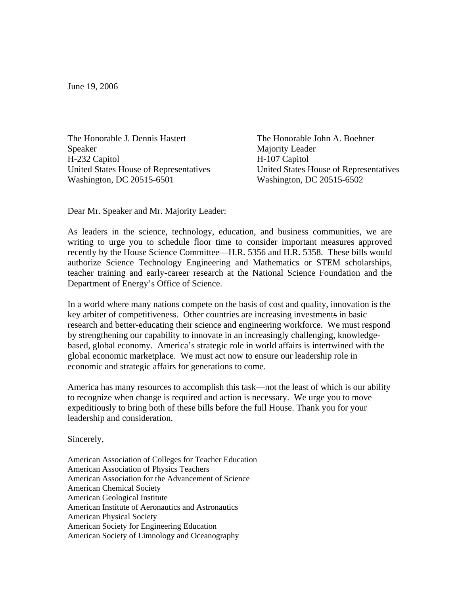June 19, 2006

The Honorable J. Dennis Hastert The Honorable John A. Boehner Speaker Majority Leader H-232 Capitol H-107 Capitol Washington, DC 20515-6501 Washington, DC 20515-6502

United States House of Representatives United States House of Representatives

Dear Mr. Speaker and Mr. Majority Leader:

As leaders in the science, technology, education, and business communities, we are writing to urge you to schedule floor time to consider important measures approved recently by the House Science Committee—H.R. 5356 and H.R. 5358. These bills would authorize Science Technology Engineering and Mathematics or STEM scholarships, teacher training and early-career research at the National Science Foundation and the Department of Energy's Office of Science.

In a world where many nations compete on the basis of cost and quality, innovation is the key arbiter of competitiveness. Other countries are increasing investments in basic research and better-educating their science and engineering workforce. We must respond by strengthening our capability to innovate in an increasingly challenging, knowledgebased, global economy. America's strategic role in world affairs is intertwined with the global economic marketplace. We must act now to ensure our leadership role in economic and strategic affairs for generations to come.

America has many resources to accomplish this task—not the least of which is our ability to recognize when change is required and action is necessary. We urge you to move expeditiously to bring both of these bills before the full House. Thank you for your leadership and consideration.

Sincerely,

American Association of Colleges for Teacher Education American Association of Physics Teachers American Association for the Advancement of Science American Chemical Society American Geological Institute American Institute of Aeronautics and Astronautics American Physical Society American Society for Engineering Education American Society of Limnology and Oceanography